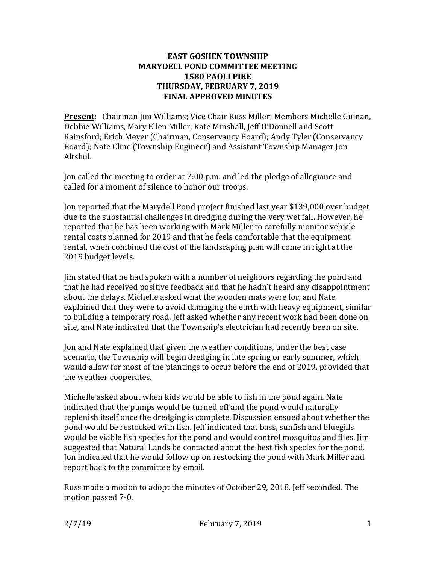## **EAST GOSHEN TOWNSHIP MARYDELL POND COMMITTEE MEETING 1580 PAOLI PIKE THURSDAY, FEBRUARY 7, 2019 FINAL APPROVED MINUTES**

**Present**: Chairman Jim Williams; Vice Chair Russ Miller; Members Michelle Guinan, Debbie Williams, Mary Ellen Miller, Kate Minshall, Jeff O'Donnell and Scott Rainsford; Erich Meyer (Chairman, Conservancy Board); Andy Tyler (Conservancy Board); Nate Cline (Township Engineer) and Assistant Township Manager Jon Altshul.

Jon called the meeting to order at 7:00 p.m. and led the pledge of allegiance and called for a moment of silence to honor our troops.

Jon reported that the Marydell Pond project finished last year \$139,000 over budget due to the substantial challenges in dredging during the very wet fall. However, he reported that he has been working with Mark Miller to carefully monitor vehicle rental costs planned for 2019 and that he feels comfortable that the equipment rental, when combined the cost of the landscaping plan will come in right at the 2019 budget levels.

Jim stated that he had spoken with a number of neighbors regarding the pond and that he had received positive feedback and that he hadn't heard any disappointment about the delays. Michelle asked what the wooden mats were for, and Nate explained that they were to avoid damaging the earth with heavy equipment, similar to building a temporary road. Jeff asked whether any recent work had been done on site, and Nate indicated that the Township's electrician had recently been on site.

Jon and Nate explained that given the weather conditions, under the best case scenario, the Township will begin dredging in late spring or early summer, which would allow for most of the plantings to occur before the end of 2019, provided that the weather cooperates.

Michelle asked about when kids would be able to fish in the pond again. Nate indicated that the pumps would be turned off and the pond would naturally replenish itself once the dredging is complete. Discussion ensued about whether the pond would be restocked with fish. Jeff indicated that bass, sunfish and bluegills would be viable fish species for the pond and would control mosquitos and flies. Jim suggested that Natural Lands be contacted about the best fish species for the pond. Jon indicated that he would follow up on restocking the pond with Mark Miller and report back to the committee by email.

Russ made a motion to adopt the minutes of October 29, 2018. Jeff seconded. The motion passed 7-0.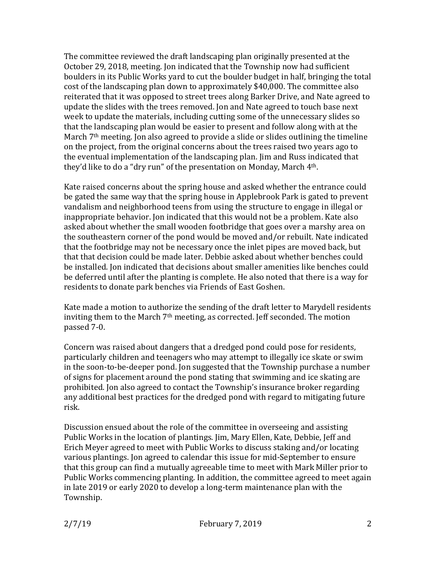The committee reviewed the draft landscaping plan originally presented at the October 29, 2018, meeting. Jon indicated that the Township now had sufficient boulders in its Public Works yard to cut the boulder budget in half, bringing the total cost of the landscaping plan down to approximately \$40,000. The committee also reiterated that it was opposed to street trees along Barker Drive, and Nate agreed to update the slides with the trees removed. Jon and Nate agreed to touch base next week to update the materials, including cutting some of the unnecessary slides so that the landscaping plan would be easier to present and follow along with at the March 7<sup>th</sup> meeting. Jon also agreed to provide a slide or slides outlining the timeline on the project, from the original concerns about the trees raised two years ago to the eventual implementation of the landscaping plan. Jim and Russ indicated that they'd like to do a "dry run" of the presentation on Monday, March 4th.

Kate raised concerns about the spring house and asked whether the entrance could be gated the same way that the spring house in Applebrook Park is gated to prevent vandalism and neighborhood teens from using the structure to engage in illegal or inappropriate behavior. Jon indicated that this would not be a problem. Kate also asked about whether the small wooden footbridge that goes over a marshy area on the southeastern corner of the pond would be moved and/or rebuilt. Nate indicated that the footbridge may not be necessary once the inlet pipes are moved back, but that that decision could be made later. Debbie asked about whether benches could be installed. Jon indicated that decisions about smaller amenities like benches could be deferred until after the planting is complete. He also noted that there is a way for residents to donate park benches via Friends of East Goshen.

Kate made a motion to authorize the sending of the draft letter to Marydell residents inviting them to the March 7<sup>th</sup> meeting, as corrected. Jeff seconded. The motion passed 7-0.

Concern was raised about dangers that a dredged pond could pose for residents, particularly children and teenagers who may attempt to illegally ice skate or swim in the soon-to-be-deeper pond. Jon suggested that the Township purchase a number of signs for placement around the pond stating that swimming and ice skating are prohibited. Jon also agreed to contact the Township's insurance broker regarding any additional best practices for the dredged pond with regard to mitigating future risk.

Discussion ensued about the role of the committee in overseeing and assisting Public Works in the location of plantings. Jim, Mary Ellen, Kate, Debbie, Jeff and Erich Meyer agreed to meet with Public Works to discuss staking and/or locating various plantings. Jon agreed to calendar this issue for mid-September to ensure that this group can find a mutually agreeable time to meet with Mark Miller prior to Public Works commencing planting. In addition, the committee agreed to meet again in late 2019 or early 2020 to develop a long-term maintenance plan with the Township.